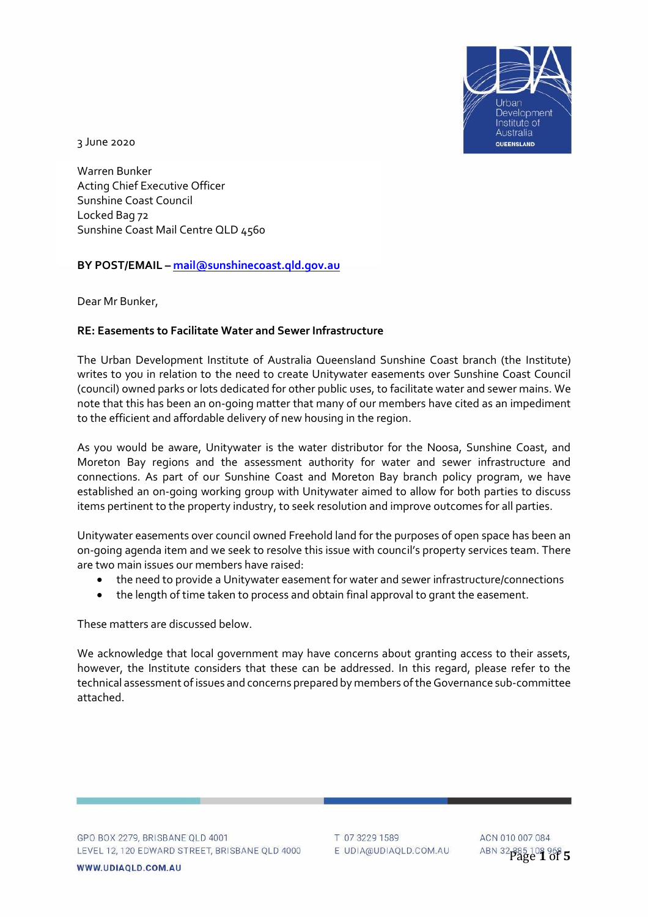

3 June 2020

Warren Bunker Acting Chief Executive Officer Sunshine Coast Council Locked Bag 72 Sunshine Coast Mail Centre QLD 4560

## **BY POST/EMAIL – [mail@sunshinecoast.qld.gov.au](mailto:mail@sunshinecoast.qld.gov.au)**

Dear Mr Bunker,

### **RE: Easements to Facilitate Water and Sewer Infrastructure**

The Urban Development Institute of Australia Queensland Sunshine Coast branch (the Institute) writes to you in relation to the need to create Unitywater easements over Sunshine Coast Council (council) owned parks or lots dedicated for other public uses, to facilitate water and sewer mains. We note that this has been an on-going matter that many of our members have cited as an impediment to the efficient and affordable delivery of new housing in the region.

As you would be aware, Unitywater is the water distributor for the Noosa, Sunshine Coast, and Moreton Bay regions and the assessment authority for water and sewer infrastructure and connections. As part of our Sunshine Coast and Moreton Bay branch policy program, we have established an on-going working group with Unitywater aimed to allow for both parties to discuss items pertinent to the property industry, to seek resolution and improve outcomes for all parties.

Unitywater easements over council owned Freehold land for the purposes of open space has been an on-going agenda item and we seek to resolve this issue with council's property services team. There are two main issues our members have raised:

- the need to provide a Unitywater easement for water and sewer infrastructure/connections
- the length of time taken to process and obtain final approval to grant the easement.

These matters are discussed below.

We acknowledge that local government may have concerns about granting access to their assets, however, the Institute considers that these can be addressed. In this regard, please refer to the technical assessment of issues and concerns prepared by members of the Governance sub-committee attached.

T 07 3229 1589 E UDIA@UDIAQLD.COM.AU

ACN 010 007 084 Page **1** of **5**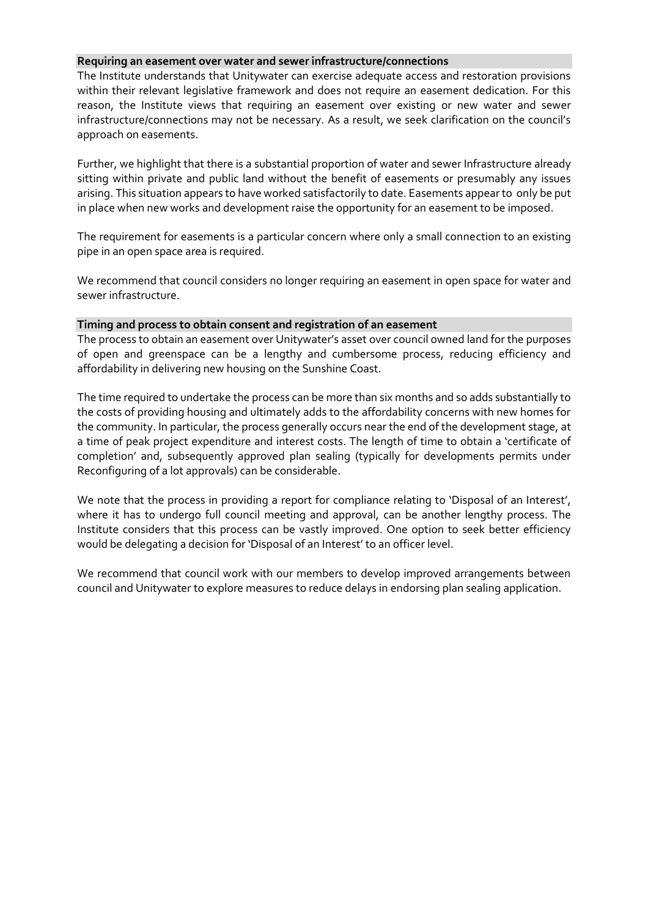#### **Requiring an easement over water and sewer infrastructure/connections**

The Institute understands that Unitywater can exercise adequate access and restoration provisions within their relevant legislative framework and does not require an easement dedication. For this reason, the Institute views that requiring an easement over existing or new water and sewer infrastructure/connections may not be necessary. As a result, we seek clarification on the council's approach on easements.

Further, we highlight that there is a substantial proportion of water and sewer Infrastructure already sitting within private and public land without the benefit of easements or presumably any issues arising. This situation appears to have worked satisfactorily to date. Easements appear to only be put in place when new works and development raise the opportunity for an easement to be imposed.

The requirement for easements is a particular concern where only a small connection to an existing pipe in an open space area is required.

We recommend that council considers no longer requiring an easement in open space for water and sewer infrastructure.

#### **Timing and process to obtain consent and registration of an easement**

The process to obtain an easement over Unitywater's asset over council owned land for the purposes of open and greenspace can be a lengthy and cumbersome process, reducing efficiency and affordability in delivering new housing on the Sunshine Coast.

The time required to undertake the process can be more than six months and so adds substantially to the costs of providing housing and ultimately adds to the affordability concerns with new homes for the community. In particular, the process generally occurs near the end of the development stage, at a time of peak project expenditure and interest costs. The length of time to obtain a 'certificate of completion' and, subsequently approved plan sealing (typically for developments permits under Reconfiguring of a lot approvals) can be considerable.

We note that the process in providing a report for compliance relating to 'Disposal of an Interest', where it has to undergo full council meeting and approval, can be another lengthy process. The Institute considers that this process can be vastly improved. One option to seek better efficiency would be delegating a decision for 'Disposal of an Interest' to an officer level.

We recommend that council work with our members to develop improved arrangements between council and Unitywater to explore measures to reduce delays in endorsing plan sealing application.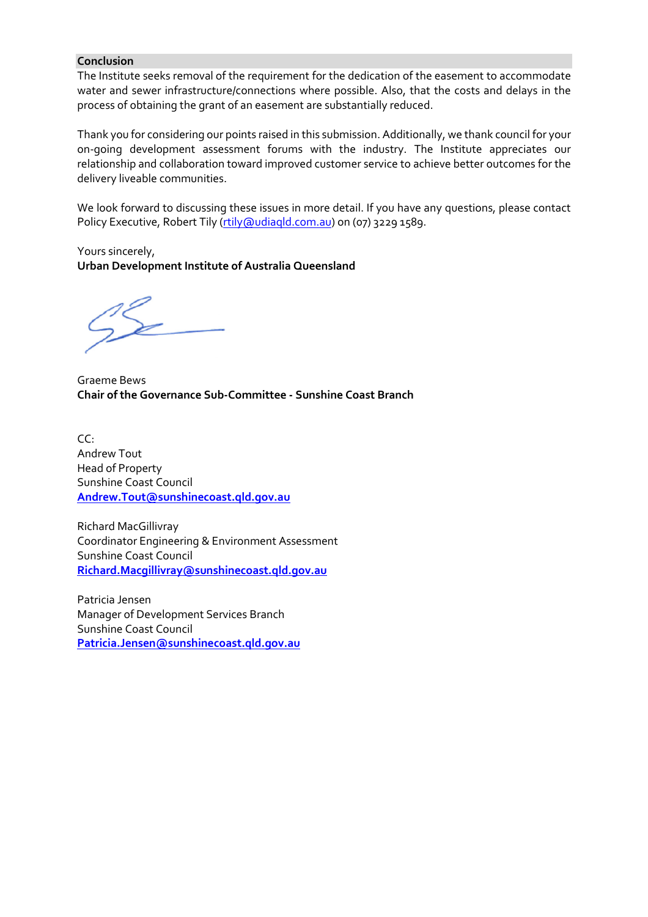### **Conclusion**

The Institute seeks removal of the requirement for the dedication of the easement to accommodate water and sewer infrastructure/connections where possible. Also, that the costs and delays in the process of obtaining the grant of an easement are substantially reduced.

Thank you for considering our points raised in this submission. Additionally, we thank council for your on-going development assessment forums with the industry. The Institute appreciates our relationship and collaboration toward improved customer service to achieve better outcomes for the delivery liveable communities.

We look forward to discussing these issues in more detail. If you have any questions, please contact Policy Executive, Robert Tily [\(rtily@udiaqld.com.au\)](mailto:rtily@udiaqld.com.au) on (07) 3229 1589.

Yours sincerely, **Urban Development Institute of Australia Queensland**

Graeme Bews **Chair of the Governance Sub-Committee - Sunshine Coast Branch**

 $CC<sup>2</sup>$ Andrew Tout Head of Property Sunshine Coast Council **[Andrew.Tout@sunshinecoast.qld.gov.au](mailto:Andrew.Tout@sunshinecoast.qld.gov.au)**

Richard MacGillivray Coordinator Engineering & Environment Assessment Sunshine Coast Council **[Richard.Macgillivray@sunshinecoast.qld.gov.au](mailto:Richard.Macgillivray@sunshinecoast.qld.gov.au)**

Patricia Jensen Manager of Development Services Branch Sunshine Coast Council **[Patricia.Jensen@sunshinecoast.qld.gov.au](mailto:Patricia.Jensen@sunshinecoast.qld.gov.au)**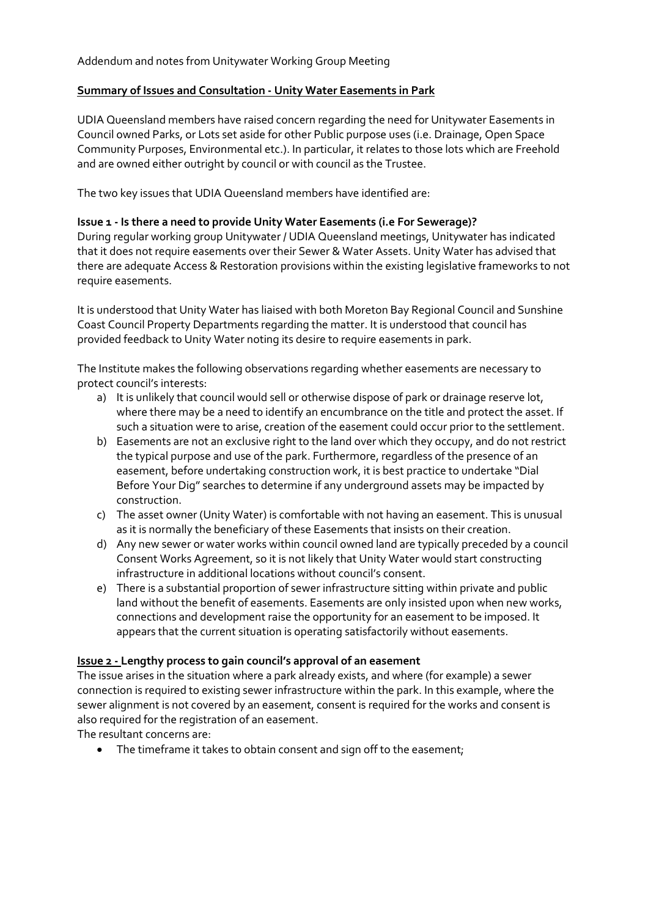# **Summary of Issues and Consultation - Unity Water Easements in Park**

UDIA Queensland members have raised concern regarding the need for Unitywater Easements in Council owned Parks, or Lots set aside for other Public purpose uses (i.e. Drainage, Open Space Community Purposes, Environmental etc.). In particular, it relates to those lots which are Freehold and are owned either outright by council or with council as the Trustee.

The two key issues that UDIA Queensland members have identified are:

# **Issue 1 - Is there a need to provide Unity Water Easements (i.e For Sewerage)?**

During regular working group Unitywater / UDIA Queensland meetings, Unitywater has indicated that it does not require easements over their Sewer & Water Assets. Unity Water has advised that there are adequate Access & Restoration provisions within the existing legislative frameworks to not require easements.

It is understood that Unity Water has liaised with both Moreton Bay Regional Council and Sunshine Coast Council Property Departments regarding the matter. It is understood that council has provided feedback to Unity Water noting its desire to require easements in park.

The Institute makes the following observations regarding whether easements are necessary to protect council's interests:

- a) It is unlikely that council would sell or otherwise dispose of park or drainage reserve lot, where there may be a need to identify an encumbrance on the title and protect the asset. If such a situation were to arise, creation of the easement could occur prior to the settlement.
- b) Easements are not an exclusive right to the land over which they occupy, and do not restrict the typical purpose and use of the park. Furthermore, regardless of the presence of an easement, before undertaking construction work, it is best practice to undertake "Dial Before Your Dig" searches to determine if any underground assets may be impacted by construction.
- c) The asset owner (Unity Water) is comfortable with not having an easement. This is unusual as it is normally the beneficiary of these Easements that insists on their creation.
- d) Any new sewer or water works within council owned land are typically preceded by a council Consent Works Agreement, so it is not likely that Unity Water would start constructing infrastructure in additional locations without council's consent.
- e) There is a substantial proportion of sewer infrastructure sitting within private and public land without the benefit of easements. Easements are only insisted upon when new works, connections and development raise the opportunity for an easement to be imposed. It appears that the current situation is operating satisfactorily without easements.

# **Issue 2 - Lengthy process to gain council's approval of an easement**

The issue arises in the situation where a park already exists, and where (for example) a sewer connection is required to existing sewer infrastructure within the park. In this example, where the sewer alignment is not covered by an easement, consent is required for the works and consent is also required for the registration of an easement.

The resultant concerns are:

• The timeframe it takes to obtain consent and sign off to the easement;